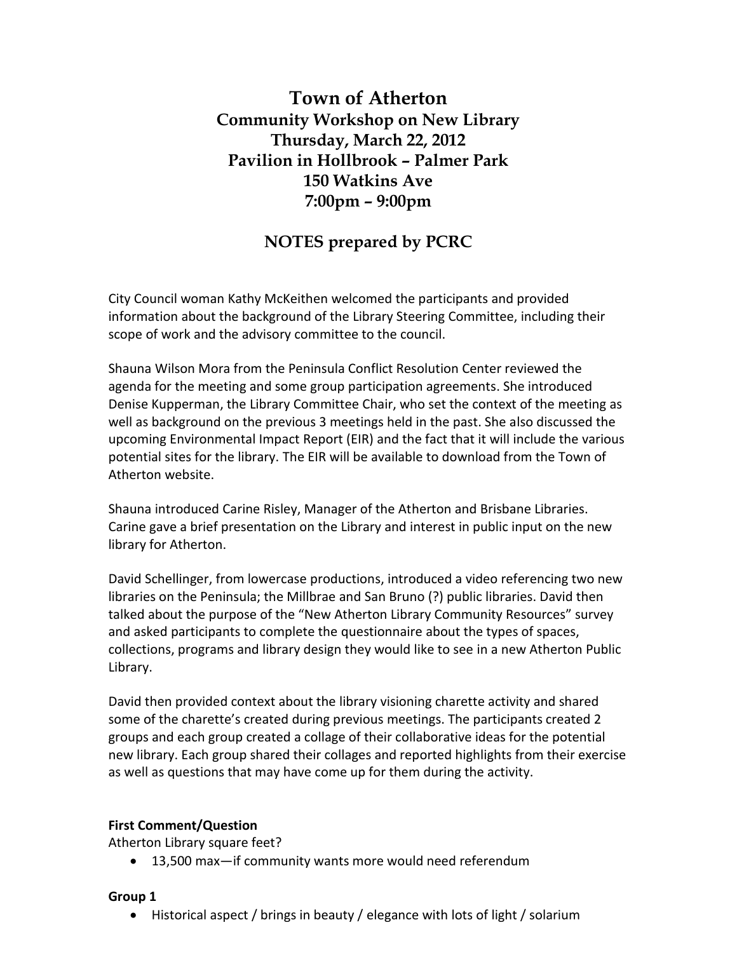# **Town of Atherton Community Workshop on New Library Thursday, March 22, 2012 Pavilion in Hollbrook – Palmer Park 150 Watkins Ave 7:00pm – 9:00pm**

## **NOTES prepared by PCRC**

City Council woman Kathy McKeithen welcomed the participants and provided information about the background of the Library Steering Committee, including their scope of work and the advisory committee to the council.

Shauna Wilson Mora from the Peninsula Conflict Resolution Center reviewed the agenda for the meeting and some group participation agreements. She introduced Denise Kupperman, the Library Committee Chair, who set the context of the meeting as well as background on the previous 3 meetings held in the past. She also discussed the upcoming Environmental Impact Report (EIR) and the fact that it will include the various potential sites for the library. The EIR will be available to download from the Town of Atherton website.

Shauna introduced Carine Risley, Manager of the Atherton and Brisbane Libraries. Carine gave a brief presentation on the Library and interest in public input on the new library for Atherton.

David Schellinger, from lowercase productions, introduced a video referencing two new libraries on the Peninsula; the Millbrae and San Bruno (?) public libraries. David then talked about the purpose of the "New Atherton Library Community Resources" survey and asked participants to complete the questionnaire about the types of spaces, collections, programs and library design they would like to see in a new Atherton Public Library.

David then provided context about the library visioning charette activity and shared some of the charette's created during previous meetings. The participants created 2 groups and each group created a collage of their collaborative ideas for the potential new library. Each group shared their collages and reported highlights from their exercise as well as questions that may have come up for them during the activity.

#### **First Comment/Question**

Atherton Library square feet?

13,500 max—if community wants more would need referendum

#### **Group 1**

Historical aspect / brings in beauty / elegance with lots of light / solarium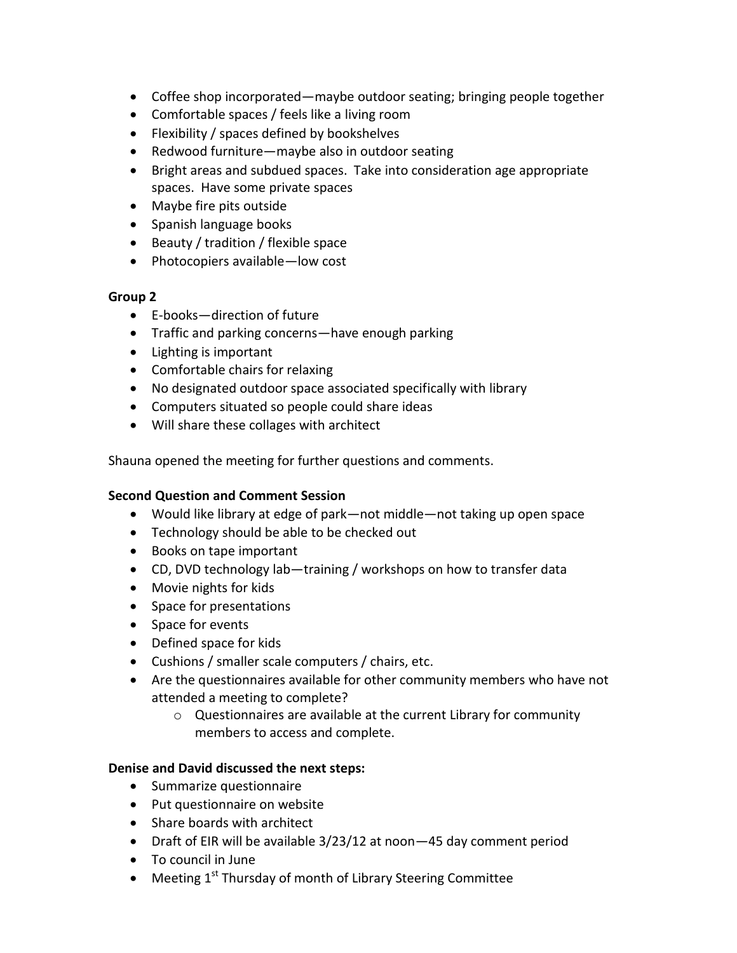- Coffee shop incorporated—maybe outdoor seating; bringing people together
- Comfortable spaces / feels like a living room
- Flexibility / spaces defined by bookshelves
- Redwood furniture—maybe also in outdoor seating
- Bright areas and subdued spaces. Take into consideration age appropriate spaces. Have some private spaces
- Maybe fire pits outside
- Spanish language books
- $\bullet$  Beauty / tradition / flexible space
- Photocopiers available—low cost

## **Group 2**

- $\bullet$  F-books—direction of future
- Traffic and parking concerns—have enough parking
- Lighting is important
- Comfortable chairs for relaxing
- No designated outdoor space associated specifically with library
- Computers situated so people could share ideas
- Will share these collages with architect

Shauna opened the meeting for further questions and comments.

## **Second Question and Comment Session**

- Would like library at edge of park—not middle—not taking up open space
- Technology should be able to be checked out
- Books on tape important
- CD, DVD technology lab—training / workshops on how to transfer data
- Movie nights for kids
- Space for presentations
- Space for events
- Defined space for kids
- Cushions / smaller scale computers / chairs, etc.
- Are the questionnaires available for other community members who have not attended a meeting to complete?
	- o Questionnaires are available at the current Library for community members to access and complete.

## **Denise and David discussed the next steps:**

- Summarize questionnaire
- Put questionnaire on website
- Share boards with architect
- Draft of EIR will be available 3/23/12 at noon—45 day comment period
- To council in June
- $\bullet$  Meeting 1<sup>st</sup> Thursday of month of Library Steering Committee